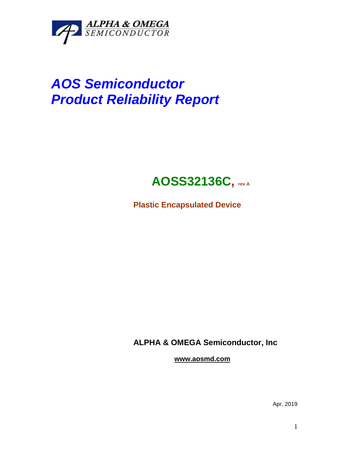

# *AOS Semiconductor Product Reliability Report*

## **AOSS32136C, rev <sup>A</sup>**

**Plastic Encapsulated Device**

**ALPHA & OMEGA Semiconductor, Inc**

**www.aosmd.com**

Apr, 2019